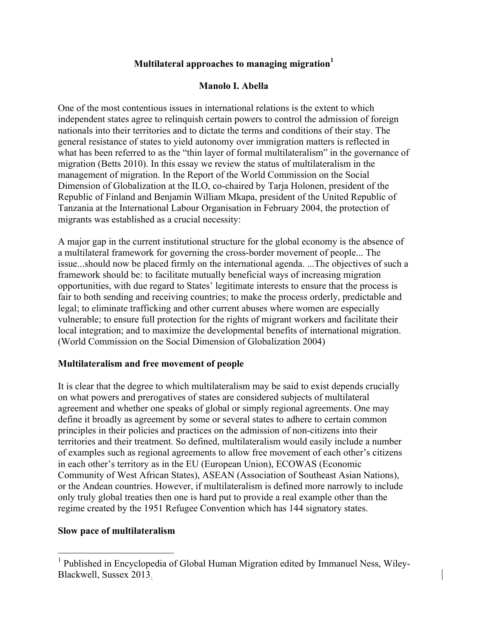# **Multilateral approaches to managing migration<sup>1</sup>**

# **Manolo I. Abella**

One of the most contentious issues in international relations is the extent to which independent states agree to relinquish certain powers to control the admission of foreign nationals into their territories and to dictate the terms and conditions of their stay. The general resistance of states to yield autonomy over immigration matters is reflected in what has been referred to as the "thin layer of formal multilateralism" in the governance of migration (Betts 2010). In this essay we review the status of multilateralism in the management of migration. In the Report of the World Commission on the Social Dimension of Globalization at the ILO, co-chaired by Tarja Holonen, president of the Republic of Finland and Benjamin William Mkapa, president of the United Republic of Tanzania at the International Labour Organisation in February 2004, the protection of migrants was established as a crucial necessity:

A major gap in the current institutional structure for the global economy is the absence of a multilateral framework for governing the cross-border movement of people... The issue...should now be placed firmly on the international agenda. ...The objectives of such a framework should be: to facilitate mutually beneficial ways of increasing migration opportunities, with due regard to States' legitimate interests to ensure that the process is fair to both sending and receiving countries; to make the process orderly, predictable and legal; to eliminate trafficking and other current abuses where women are especially vulnerable; to ensure full protection for the rights of migrant workers and facilitate their local integration; and to maximize the developmental benefits of international migration. (World Commission on the Social Dimension of Globalization 2004)

## **Multilateralism and free movement of people**

It is clear that the degree to which multilateralism may be said to exist depends crucially on what powers and prerogatives of states are considered subjects of multilateral agreement and whether one speaks of global or simply regional agreements. One may define it broadly as agreement by some or several states to adhere to certain common principles in their policies and practices on the admission of non-citizens into their territories and their treatment. So defined, multilateralism would easily include a number of examples such as regional agreements to allow free movement of each other's citizens in each other's territory as in the EU (European Union), ECOWAS (Economic Community of West African States), ASEAN (Association of Southeast Asian Nations), or the Andean countries. However, if multilateralism is defined more narrowly to include only truly global treaties then one is hard put to provide a real example other than the regime created by the 1951 Refugee Convention which has 144 signatory states.

## **Slow pace of multilateralism**

1

<sup>&</sup>lt;sup>1</sup> Published in Encyclopedia of Global Human Migration edited by Immanuel Ness, Wiley-Blackwell, Sussex 2013.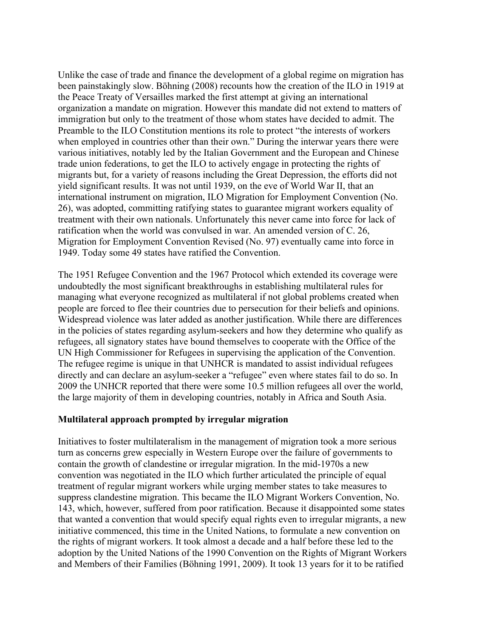Unlike the case of trade and finance the development of a global regime on migration has been painstakingly slow. Böhning (2008) recounts how the creation of the ILO in 1919 at the Peace Treaty of Versailles marked the first attempt at giving an international organization a mandate on migration. However this mandate did not extend to matters of immigration but only to the treatment of those whom states have decided to admit. The Preamble to the ILO Constitution mentions its role to protect "the interests of workers when employed in countries other than their own." During the interwar years there were various initiatives, notably led by the Italian Government and the European and Chinese trade union federations, to get the ILO to actively engage in protecting the rights of migrants but, for a variety of reasons including the Great Depression, the efforts did not yield significant results. It was not until 1939, on the eve of World War II, that an international instrument on migration, ILO Migration for Employment Convention (No. 26), was adopted, committing ratifying states to guarantee migrant workers equality of treatment with their own nationals. Unfortunately this never came into force for lack of ratification when the world was convulsed in war. An amended version of C. 26, Migration for Employment Convention Revised (No. 97) eventually came into force in 1949. Today some 49 states have ratified the Convention.

The 1951 Refugee Convention and the 1967 Protocol which extended its coverage were undoubtedly the most significant breakthroughs in establishing multilateral rules for managing what everyone recognized as multilateral if not global problems created when people are forced to flee their countries due to persecution for their beliefs and opinions. Widespread violence was later added as another justification. While there are differences in the policies of states regarding asylum-seekers and how they determine who qualify as refugees, all signatory states have bound themselves to cooperate with the Office of the UN High Commissioner for Refugees in supervising the application of the Convention. The refugee regime is unique in that UNHCR is mandated to assist individual refugees directly and can declare an asylum-seeker a "refugee" even where states fail to do so. In 2009 the UNHCR reported that there were some 10.5 million refugees all over the world, the large majority of them in developing countries, notably in Africa and South Asia.

#### **Multilateral approach prompted by irregular migration**

Initiatives to foster multilateralism in the management of migration took a more serious turn as concerns grew especially in Western Europe over the failure of governments to contain the growth of clandestine or irregular migration. In the mid-1970s a new convention was negotiated in the ILO which further articulated the principle of equal treatment of regular migrant workers while urging member states to take measures to suppress clandestine migration. This became the ILO Migrant Workers Convention, No. 143, which, however, suffered from poor ratification. Because it disappointed some states that wanted a convention that would specify equal rights even to irregular migrants, a new initiative commenced, this time in the United Nations, to formulate a new convention on the rights of migrant workers. It took almost a decade and a half before these led to the adoption by the United Nations of the 1990 Convention on the Rights of Migrant Workers and Members of their Families (Böhning 1991, 2009). It took 13 years for it to be ratified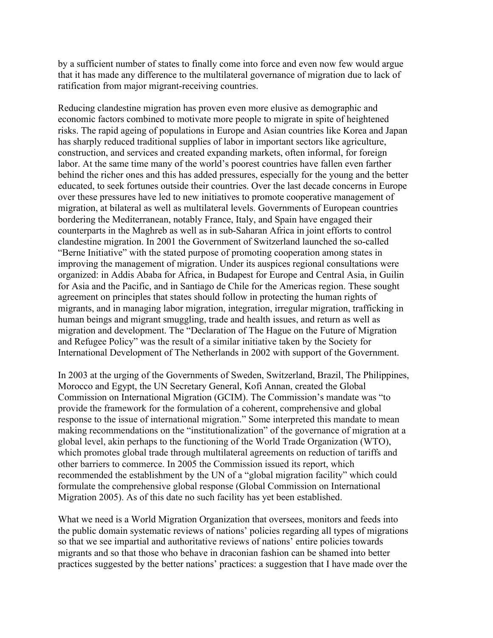by a sufficient number of states to finally come into force and even now few would argue that it has made any difference to the multilateral governance of migration due to lack of ratification from major migrant-receiving countries.

Reducing clandestine migration has proven even more elusive as demographic and economic factors combined to motivate more people to migrate in spite of heightened risks. The rapid ageing of populations in Europe and Asian countries like Korea and Japan has sharply reduced traditional supplies of labor in important sectors like agriculture, construction, and services and created expanding markets, often informal, for foreign labor. At the same time many of the world's poorest countries have fallen even farther behind the richer ones and this has added pressures, especially for the young and the better educated, to seek fortunes outside their countries. Over the last decade concerns in Europe over these pressures have led to new initiatives to promote cooperative management of migration, at bilateral as well as multilateral levels. Governments of European countries bordering the Mediterranean, notably France, Italy, and Spain have engaged their counterparts in the Maghreb as well as in sub-Saharan Africa in joint efforts to control clandestine migration. In 2001 the Government of Switzerland launched the so-called "Berne Initiative" with the stated purpose of promoting cooperation among states in improving the management of migration. Under its auspices regional consultations were organized: in Addis Ababa for Africa, in Budapest for Europe and Central Asia, in Guilin for Asia and the Pacific, and in Santiago de Chile for the Americas region. These sought agreement on principles that states should follow in protecting the human rights of migrants, and in managing labor migration, integration, irregular migration, trafficking in human beings and migrant smuggling, trade and health issues, and return as well as migration and development. The "Declaration of The Hague on the Future of Migration and Refugee Policy" was the result of a similar initiative taken by the Society for International Development of The Netherlands in 2002 with support of the Government.

In 2003 at the urging of the Governments of Sweden, Switzerland, Brazil, The Philippines, Morocco and Egypt, the UN Secretary General, Kofi Annan, created the Global Commission on International Migration (GCIM). The Commission's mandate was "to provide the framework for the formulation of a coherent, comprehensive and global response to the issue of international migration." Some interpreted this mandate to mean making recommendations on the "institutionalization" of the governance of migration at a global level, akin perhaps to the functioning of the World Trade Organization (WTO), which promotes global trade through multilateral agreements on reduction of tariffs and other barriers to commerce. In 2005 the Commission issued its report, which recommended the establishment by the UN of a "global migration facility" which could formulate the comprehensive global response (Global Commission on International Migration 2005). As of this date no such facility has yet been established.

What we need is a World Migration Organization that oversees, monitors and feeds into the public domain systematic reviews of nations' policies regarding all types of migrations so that we see impartial and authoritative reviews of nations' entire policies towards migrants and so that those who behave in draconian fashion can be shamed into better practices suggested by the better nations' practices: a suggestion that I have made over the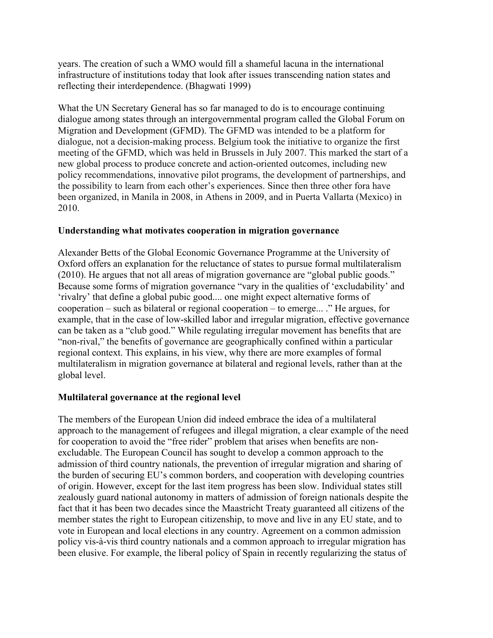years. The creation of such a WMO would fill a shameful lacuna in the international infrastructure of institutions today that look after issues transcending nation states and reflecting their interdependence. (Bhagwati 1999)

What the UN Secretary General has so far managed to do is to encourage continuing dialogue among states through an intergovernmental program called the Global Forum on Migration and Development (GFMD). The GFMD was intended to be a platform for dialogue, not a decision-making process. Belgium took the initiative to organize the first meeting of the GFMD, which was held in Brussels in July 2007. This marked the start of a new global process to produce concrete and action-oriented outcomes, including new policy recommendations, innovative pilot programs, the development of partnerships, and the possibility to learn from each other's experiences. Since then three other fora have been organized, in Manila in 2008, in Athens in 2009, and in Puerta Vallarta (Mexico) in 2010.

### **Understanding what motivates cooperation in migration governance**

Alexander Betts of the Global Economic Governance Programme at the University of Oxford offers an explanation for the reluctance of states to pursue formal multilateralism (2010). He argues that not all areas of migration governance are "global public goods." Because some forms of migration governance "vary in the qualities of 'excludability' and 'rivalry' that define a global pubic good.... one might expect alternative forms of cooperation – such as bilateral or regional cooperation – to emerge... ." He argues, for example, that in the case of low-skilled labor and irregular migration, effective governance can be taken as a "club good." While regulating irregular movement has benefits that are "non-rival," the benefits of governance are geographically confined within a particular regional context. This explains, in his view, why there are more examples of formal multilateralism in migration governance at bilateral and regional levels, rather than at the global level.

#### **Multilateral governance at the regional level**

The members of the European Union did indeed embrace the idea of a multilateral approach to the management of refugees and illegal migration, a clear example of the need for cooperation to avoid the "free rider" problem that arises when benefits are nonexcludable. The European Council has sought to develop a common approach to the admission of third country nationals, the prevention of irregular migration and sharing of the burden of securing EU's common borders, and cooperation with developing countries of origin. However, except for the last item progress has been slow. Individual states still zealously guard national autonomy in matters of admission of foreign nationals despite the fact that it has been two decades since the Maastricht Treaty guaranteed all citizens of the member states the right to European citizenship, to move and live in any EU state, and to vote in European and local elections in any country. Agreement on a common admission policy vis-à-vis third country nationals and a common approach to irregular migration has been elusive. For example, the liberal policy of Spain in recently regularizing the status of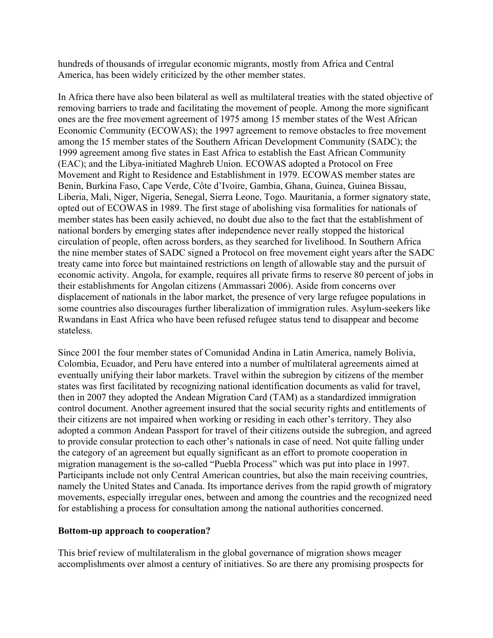hundreds of thousands of irregular economic migrants, mostly from Africa and Central America, has been widely criticized by the other member states.

In Africa there have also been bilateral as well as multilateral treaties with the stated objective of removing barriers to trade and facilitating the movement of people. Among the more significant ones are the free movement agreement of 1975 among 15 member states of the West African Economic Community (ECOWAS); the 1997 agreement to remove obstacles to free movement among the 15 member states of the Southern African Development Community (SADC); the 1999 agreement among five states in East Africa to establish the East African Community (EAC); and the Libya-initiated Maghreb Union. ECOWAS adopted a Protocol on Free Movement and Right to Residence and Establishment in 1979. ECOWAS member states are Benin, Burkina Faso, Cape Verde, Côte d'Ivoire, Gambia, Ghana, Guinea, Guinea Bissau, Liberia, Mali, Niger, Nigeria, Senegal, Sierra Leone, Togo. Mauritania, a former signatory state, opted out of ECOWAS in 1989. The first stage of abolishing visa formalities for nationals of member states has been easily achieved, no doubt due also to the fact that the establishment of national borders by emerging states after independence never really stopped the historical circulation of people, often across borders, as they searched for livelihood. In Southern Africa the nine member states of SADC signed a Protocol on free movement eight years after the SADC treaty came into force but maintained restrictions on length of allowable stay and the pursuit of economic activity. Angola, for example, requires all private firms to reserve 80 percent of jobs in their establishments for Angolan citizens (Ammassari 2006). Aside from concerns over displacement of nationals in the labor market, the presence of very large refugee populations in some countries also discourages further liberalization of immigration rules. Asylum-seekers like Rwandans in East Africa who have been refused refugee status tend to disappear and become stateless.

Since 2001 the four member states of Comunidad Andina in Latin America, namely Bolivia, Colombia, Ecuador, and Peru have entered into a number of multilateral agreements aimed at eventually unifying their labor markets. Travel within the subregion by citizens of the member states was first facilitated by recognizing national identification documents as valid for travel, then in 2007 they adopted the Andean Migration Card (TAM) as a standardized immigration control document. Another agreement insured that the social security rights and entitlements of their citizens are not impaired when working or residing in each other's territory. They also adopted a common Andean Passport for travel of their citizens outside the subregion, and agreed to provide consular protection to each other's nationals in case of need. Not quite falling under the category of an agreement but equally significant as an effort to promote cooperation in migration management is the so-called "Puebla Process" which was put into place in 1997. Participants include not only Central American countries, but also the main receiving countries, namely the United States and Canada. Its importance derives from the rapid growth of migratory movements, especially irregular ones, between and among the countries and the recognized need for establishing a process for consultation among the national authorities concerned.

## **Bottom-up approach to cooperation?**

This brief review of multilateralism in the global governance of migration shows meager accomplishments over almost a century of initiatives. So are there any promising prospects for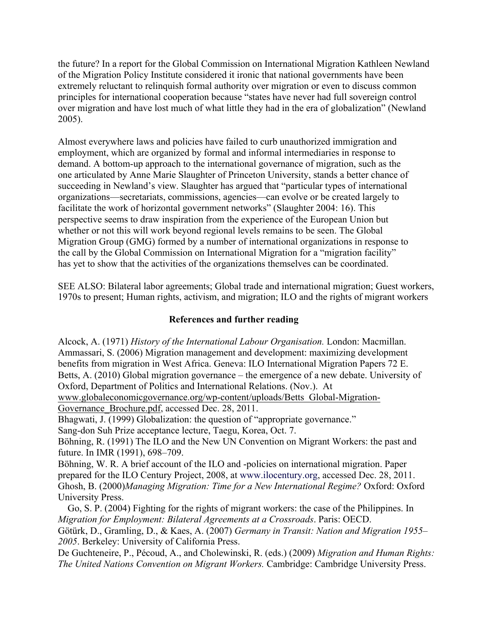the future? In a report for the Global Commission on International Migration Kathleen Newland of the Migration Policy Institute considered it ironic that national governments have been extremely reluctant to relinquish formal authority over migration or even to discuss common principles for international cooperation because "states have never had full sovereign control over migration and have lost much of what little they had in the era of globalization" (Newland 2005).

Almost everywhere laws and policies have failed to curb unauthorized immigration and employment, which are organized by formal and informal intermediaries in response to demand. A bottom-up approach to the international governance of migration, such as the one articulated by Anne Marie Slaughter of Princeton University, stands a better chance of succeeding in Newland's view. Slaughter has argued that "particular types of international organizations—secretariats, commissions, agencies—can evolve or be created largely to facilitate the work of horizontal government networks" (Slaughter 2004: 16). This perspective seems to draw inspiration from the experience of the European Union but whether or not this will work beyond regional levels remains to be seen. The Global Migration Group (GMG) formed by a number of international organizations in response to the call by the Global Commission on International Migration for a "migration facility" has yet to show that the activities of the organizations themselves can be coordinated.

SEE ALSO: Bilateral labor agreements; Global trade and international migration; Guest workers, 1970s to present; Human rights, activism, and migration; ILO and the rights of migrant workers

## **References and further reading**

 Betts, A. (2010) Global migration governance – the emergence of a new debate. University of Alcock, A. (1971) *History of the International Labour Organisation.* London: Macmillan. Ammassari, S. (2006) Migration management and development: maximizing development benefits from migration in West Africa. Geneva: ILO International Migration Papers 72 E. Oxford, Department of Politics and International Relations. (Nov.). At

www.globaleconomicgovernance.org/wp-content/uploads/Betts\_Global-Migration-

Governance\_Brochure.pdf, accessed Dec. 28, 2011.

Bhagwati, J. (1999) Globalization: the question of "appropriate governance."

Sang-don Suh Prize acceptance lecture, Taegu, Korea, Oct. 7.

Böhning, R. (1991) The ILO and the New UN Convention on Migrant Workers: the past and future. In IMR (1991), 698–709.

Böhning, W. R. A brief account of the ILO and -policies on international migration. Paper prepared for the ILO Century Project, 2008, at www.ilocentury.org, accessed Dec. 28, 2011. Ghosh, B. (2000)*Managing Migration: Time for a New International Regime?* Oxford: Oxford University Press.

Go, S. P. (2004) Fighting for the rights of migrant workers: the case of the Philippines. In *Migration for Employment: Bilateral Agreements at a Crossroads*. Paris: OECD. Götürk, D., Gramling, D., & Kaes, A. (2007) *Germany in Transit: Nation and Migration 1955– 2005*. Berkeley: University of California Press.

De Guchteneire, P., Pécoud, A., and Cholewinski, R. (eds.) (2009) *Migration and Human Rights: The United Nations Convention on Migrant Workers.* Cambridge: Cambridge University Press.